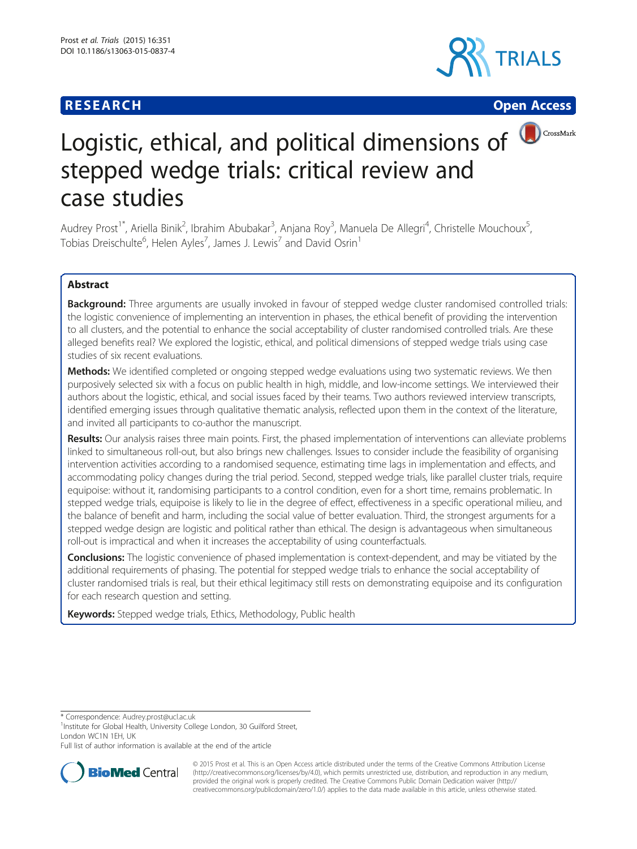# **RESEARCH CHE CHE Open Access**





# Logistic, ethical, and political dimensions of **D**CrossMark stepped wedge trials: critical review and case studies

Audrey Prost<sup>1\*</sup>, Ariella Binik<sup>2</sup>, Ibrahim Abubakar<sup>3</sup>, Anjana Roy<sup>3</sup>, Manuela De Allegri<sup>4</sup>, Christelle Mouchoux<sup>5</sup> , Tobias Dreischulte<sup>6</sup>, Helen Ayles<sup>7</sup>, James J. Lewis<sup>7</sup> and David Osrin<sup>1</sup>

# Abstract

**Background:** Three arguments are usually invoked in favour of stepped wedge cluster randomised controlled trials: the logistic convenience of implementing an intervention in phases, the ethical benefit of providing the intervention to all clusters, and the potential to enhance the social acceptability of cluster randomised controlled trials. Are these alleged benefits real? We explored the logistic, ethical, and political dimensions of stepped wedge trials using case studies of six recent evaluations.

Methods: We identified completed or ongoing stepped wedge evaluations using two systematic reviews. We then purposively selected six with a focus on public health in high, middle, and low-income settings. We interviewed their authors about the logistic, ethical, and social issues faced by their teams. Two authors reviewed interview transcripts, identified emerging issues through qualitative thematic analysis, reflected upon them in the context of the literature, and invited all participants to co-author the manuscript.

Results: Our analysis raises three main points. First, the phased implementation of interventions can alleviate problems linked to simultaneous roll-out, but also brings new challenges. Issues to consider include the feasibility of organising intervention activities according to a randomised sequence, estimating time lags in implementation and effects, and accommodating policy changes during the trial period. Second, stepped wedge trials, like parallel cluster trials, require equipoise: without it, randomising participants to a control condition, even for a short time, remains problematic. In stepped wedge trials, equipoise is likely to lie in the degree of effect, effectiveness in a specific operational milieu, and the balance of benefit and harm, including the social value of better evaluation. Third, the strongest arguments for a stepped wedge design are logistic and political rather than ethical. The design is advantageous when simultaneous roll-out is impractical and when it increases the acceptability of using counterfactuals.

**Conclusions:** The logistic convenience of phased implementation is context-dependent, and may be vitiated by the additional requirements of phasing. The potential for stepped wedge trials to enhance the social acceptability of cluster randomised trials is real, but their ethical legitimacy still rests on demonstrating equipoise and its configuration for each research question and setting.

Keywords: Stepped wedge trials, Ethics, Methodology, Public health

\* Correspondence: [Audrey.prost@ucl.ac.uk](mailto:Audrey.prost@ucl.ac.uk) <sup>1</sup>

<sup>1</sup>Institute for Global Health, University College London, 30 Guilford Street, London WC1N 1EH, UK

Full list of author information is available at the end of the article



© 2015 Prost et al. This is an Open Access article distributed under the terms of the Creative Commons Attribution License [\(http://creativecommons.org/licenses/by/4.0\)](http://creativecommons.org/licenses/by/4.0), which permits unrestricted use, distribution, and reproduction in any medium, provided the original work is properly credited. The Creative Commons Public Domain Dedication waiver [\(http://](http://creativecommons.org/publicdomain/zero/1.0/) [creativecommons.org/publicdomain/zero/1.0/\)](http://creativecommons.org/publicdomain/zero/1.0/) applies to the data made available in this article, unless otherwise stated.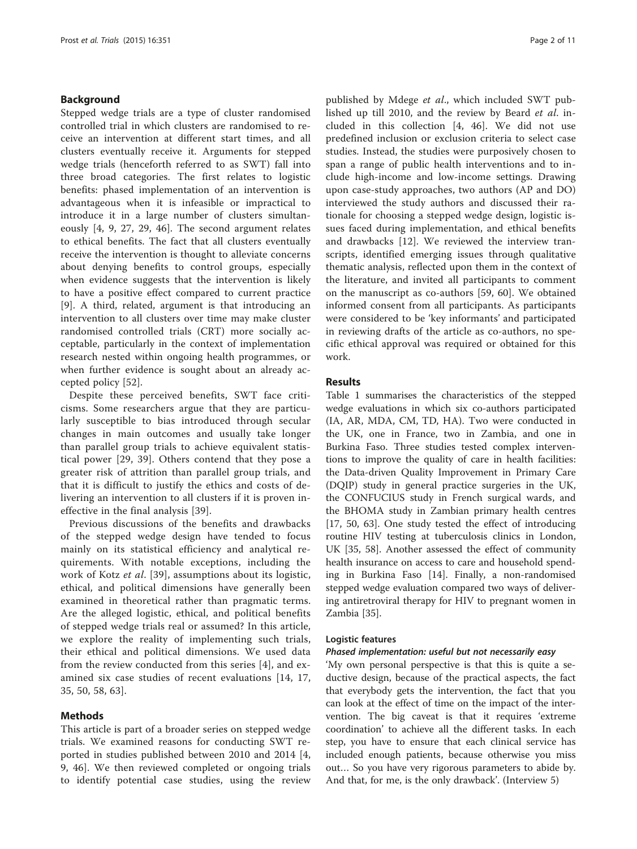# Background

Stepped wedge trials are a type of cluster randomised controlled trial in which clusters are randomised to receive an intervention at different start times, and all clusters eventually receive it. Arguments for stepped wedge trials (henceforth referred to as SWT) fall into three broad categories. The first relates to logistic benefits: phased implementation of an intervention is advantageous when it is infeasible or impractical to introduce it in a large number of clusters simultaneously [\[4](#page-9-0), [9, 27](#page-9-0), [29,](#page-9-0) [46\]](#page-10-0). The second argument relates to ethical benefits. The fact that all clusters eventually receive the intervention is thought to alleviate concerns about denying benefits to control groups, especially when evidence suggests that the intervention is likely to have a positive effect compared to current practice [[9\]](#page-9-0). A third, related, argument is that introducing an intervention to all clusters over time may make cluster randomised controlled trials (CRT) more socially acceptable, particularly in the context of implementation research nested within ongoing health programmes, or when further evidence is sought about an already accepted policy [[52\]](#page-10-0).

Despite these perceived benefits, SWT face criticisms. Some researchers argue that they are particularly susceptible to bias introduced through secular changes in main outcomes and usually take longer than parallel group trials to achieve equivalent statistical power [[29](#page-9-0), [39\]](#page-9-0). Others contend that they pose a greater risk of attrition than parallel group trials, and that it is difficult to justify the ethics and costs of delivering an intervention to all clusters if it is proven ineffective in the final analysis [\[39](#page-9-0)].

Previous discussions of the benefits and drawbacks of the stepped wedge design have tended to focus mainly on its statistical efficiency and analytical requirements. With notable exceptions, including the work of Kotz et al. [\[39](#page-9-0)], assumptions about its logistic, ethical, and political dimensions have generally been examined in theoretical rather than pragmatic terms. Are the alleged logistic, ethical, and political benefits of stepped wedge trials real or assumed? In this article, we explore the reality of implementing such trials, their ethical and political dimensions. We used data from the review conducted from this series [\[4](#page-9-0)], and examined six case studies of recent evaluations [[14, 17](#page-9-0), [35,](#page-9-0) [50](#page-10-0), [58, 63\]](#page-10-0).

# Methods

This article is part of a broader series on stepped wedge trials. We examined reasons for conducting SWT reported in studies published between 2010 and 2014 [\[4](#page-9-0), [9,](#page-9-0) [46](#page-10-0)]. We then reviewed completed or ongoing trials to identify potential case studies, using the review

published by Mdege et al., which included SWT published up till 2010, and the review by Beard et al. included in this collection [[4,](#page-9-0) [46\]](#page-10-0). We did not use predefined inclusion or exclusion criteria to select case studies. Instead, the studies were purposively chosen to span a range of public health interventions and to include high-income and low-income settings. Drawing upon case-study approaches, two authors (AP and DO) interviewed the study authors and discussed their rationale for choosing a stepped wedge design, logistic issues faced during implementation, and ethical benefits and drawbacks [\[12](#page-9-0)]. We reviewed the interview transcripts, identified emerging issues through qualitative thematic analysis, reflected upon them in the context of the literature, and invited all participants to comment on the manuscript as co-authors [[59, 60\]](#page-10-0). We obtained informed consent from all participants. As participants were considered to be 'key informants' and participated in reviewing drafts of the article as co-authors, no specific ethical approval was required or obtained for this work.

# Results

Table [1](#page-2-0) summarises the characteristics of the stepped wedge evaluations in which six co-authors participated (IA, AR, MDA, CM, TD, HA). Two were conducted in the UK, one in France, two in Zambia, and one in Burkina Faso. Three studies tested complex interventions to improve the quality of care in health facilities: the Data-driven Quality Improvement in Primary Care (DQIP) study in general practice surgeries in the UK, the CONFUCIUS study in French surgical wards, and the BHOMA study in Zambian primary health centres [[17,](#page-9-0) [50, 63\]](#page-10-0). One study tested the effect of introducing routine HIV testing at tuberculosis clinics in London, UK [[35](#page-9-0), [58](#page-10-0)]. Another assessed the effect of community health insurance on access to care and household spending in Burkina Faso [[14\]](#page-9-0). Finally, a non-randomised stepped wedge evaluation compared two ways of delivering antiretroviral therapy for HIV to pregnant women in Zambia [[35\]](#page-9-0).

# Logistic features

# Phased implementation: useful but not necessarily easy

'My own personal perspective is that this is quite a seductive design, because of the practical aspects, the fact that everybody gets the intervention, the fact that you can look at the effect of time on the impact of the intervention. The big caveat is that it requires 'extreme coordination' to achieve all the different tasks. In each step, you have to ensure that each clinical service has included enough patients, because otherwise you miss out… So you have very rigorous parameters to abide by. And that, for me, is the only drawback'. (Interview 5)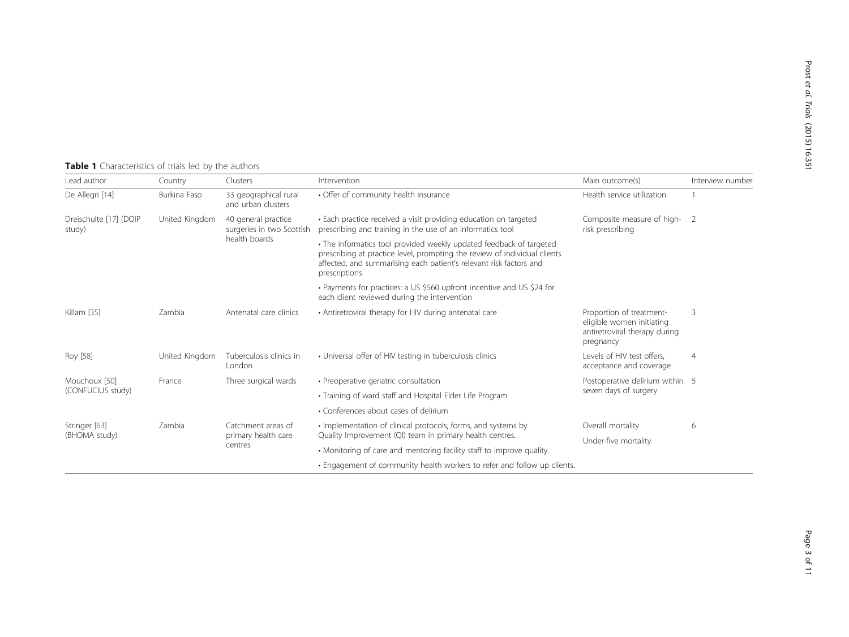# <span id="page-2-0"></span>Table 1 Characteristics of trials led by the authors

| Lead author                        | Country        | Clusters                                                          | Intervention                                                                                                                                                                                                                            | Main outcome(s)                                                                                     | Interview number |
|------------------------------------|----------------|-------------------------------------------------------------------|-----------------------------------------------------------------------------------------------------------------------------------------------------------------------------------------------------------------------------------------|-----------------------------------------------------------------------------------------------------|------------------|
| De Allegri [14]                    | Burkina Faso   | 33 geographical rural<br>and urban clusters                       | • Offer of community health insurance                                                                                                                                                                                                   | Health service utilization                                                                          |                  |
| Dreischulte [17] (DQIP<br>study)   | United Kingdom | 40 general practice<br>surgeries in two Scottish<br>health boards | • Each practice received a visit providing education on targeted<br>prescribing and training in the use of an informatics tool                                                                                                          | Composite measure of high-2<br>risk prescribing                                                     |                  |
|                                    |                |                                                                   | • The informatics tool provided weekly updated feedback of targeted<br>prescribing at practice level, prompting the review of individual clients<br>affected, and summarising each patient's relevant risk factors and<br>prescriptions |                                                                                                     |                  |
|                                    |                |                                                                   | • Payments for practices: a US \$560 upfront incentive and US \$24 for<br>each client reviewed during the intervention                                                                                                                  |                                                                                                     |                  |
| Killam [35]                        | Zambia         | Antenatal care clinics                                            | • Antiretroviral therapy for HIV during antenatal care                                                                                                                                                                                  | Proportion of treatment-<br>eligible women initiating<br>antiretroviral therapy during<br>pregnancy | 3                |
| Roy [58]                           | United Kingdom | Tuberculosis clinics in<br>London                                 | • Universal offer of HIV testing in tuberculosis clinics                                                                                                                                                                                | Levels of HIV test offers.<br>acceptance and coverage                                               | $\overline{4}$   |
| Mouchoux [50]<br>(CONFUCIUS study) | France         | Three surgical wards                                              | • Preoperative geriatric consultation                                                                                                                                                                                                   | Postoperative delirium within 5<br>seven days of surgery                                            |                  |
|                                    |                |                                                                   | • Training of ward staff and Hospital Elder Life Program                                                                                                                                                                                |                                                                                                     |                  |
|                                    |                |                                                                   | • Conferences about cases of delirium                                                                                                                                                                                                   |                                                                                                     |                  |
| Stringer [63]<br>(BHOMA study)     | Zambia         | Catchment areas of<br>primary health care<br>centres              | • Implementation of clinical protocols, forms, and systems by                                                                                                                                                                           | Overall mortality                                                                                   | 6                |
|                                    |                |                                                                   | Quality Improvement (QI) team in primary health centres.                                                                                                                                                                                | Under-five mortality                                                                                |                  |
|                                    |                |                                                                   | • Monitoring of care and mentoring facility staff to improve quality.                                                                                                                                                                   |                                                                                                     |                  |
|                                    |                |                                                                   | . Engagement of community health workers to refer and follow up clients.                                                                                                                                                                |                                                                                                     |                  |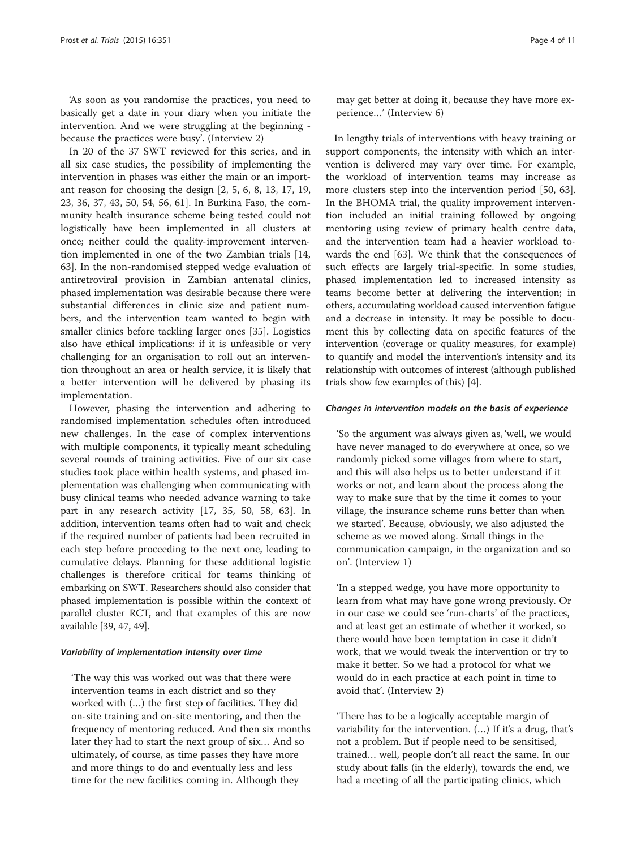'As soon as you randomise the practices, you need to basically get a date in your diary when you initiate the intervention. And we were struggling at the beginning because the practices were busy'. (Interview 2)

In 20 of the 37 SWT reviewed for this series, and in all six case studies, the possibility of implementing the intervention in phases was either the main or an important reason for choosing the design [[2, 5, 6](#page-9-0), [8, 13, 17](#page-9-0), [19](#page-9-0), [23, 36, 37, 43](#page-9-0), [50, 54, 56, 61](#page-10-0)]. In Burkina Faso, the community health insurance scheme being tested could not logistically have been implemented in all clusters at once; neither could the quality-improvement intervention implemented in one of the two Zambian trials [[14](#page-9-0), [63\]](#page-10-0). In the non-randomised stepped wedge evaluation of antiretroviral provision in Zambian antenatal clinics, phased implementation was desirable because there were substantial differences in clinic size and patient numbers, and the intervention team wanted to begin with smaller clinics before tackling larger ones [\[35](#page-9-0)]. Logistics also have ethical implications: if it is unfeasible or very challenging for an organisation to roll out an intervention throughout an area or health service, it is likely that a better intervention will be delivered by phasing its implementation.

However, phasing the intervention and adhering to randomised implementation schedules often introduced new challenges. In the case of complex interventions with multiple components, it typically meant scheduling several rounds of training activities. Five of our six case studies took place within health systems, and phased implementation was challenging when communicating with busy clinical teams who needed advance warning to take part in any research activity [\[17](#page-9-0), [35,](#page-9-0) [50](#page-10-0), [58](#page-10-0), [63\]](#page-10-0). In addition, intervention teams often had to wait and check if the required number of patients had been recruited in each step before proceeding to the next one, leading to cumulative delays. Planning for these additional logistic challenges is therefore critical for teams thinking of embarking on SWT. Researchers should also consider that phased implementation is possible within the context of parallel cluster RCT, and that examples of this are now available [\[39](#page-9-0), [47](#page-10-0), [49\]](#page-10-0).

#### Variability of implementation intensity over time

'The way this was worked out was that there were intervention teams in each district and so they worked with (…) the first step of facilities. They did on-site training and on-site mentoring, and then the frequency of mentoring reduced. And then six months later they had to start the next group of six… And so ultimately, of course, as time passes they have more and more things to do and eventually less and less time for the new facilities coming in. Although they

may get better at doing it, because they have more experience…' (Interview 6)

In lengthy trials of interventions with heavy training or support components, the intensity with which an intervention is delivered may vary over time. For example, the workload of intervention teams may increase as more clusters step into the intervention period [[50, 63](#page-10-0)]. In the BHOMA trial, the quality improvement intervention included an initial training followed by ongoing mentoring using review of primary health centre data, and the intervention team had a heavier workload towards the end [\[63](#page-10-0)]. We think that the consequences of such effects are largely trial-specific. In some studies, phased implementation led to increased intensity as teams become better at delivering the intervention; in others, accumulating workload caused intervention fatigue and a decrease in intensity. It may be possible to document this by collecting data on specific features of the intervention (coverage or quality measures, for example) to quantify and model the intervention's intensity and its relationship with outcomes of interest (although published trials show few examples of this) [\[4](#page-9-0)].

# Changes in intervention models on the basis of experience

'So the argument was always given as, 'well, we would have never managed to do everywhere at once, so we randomly picked some villages from where to start, and this will also helps us to better understand if it works or not, and learn about the process along the way to make sure that by the time it comes to your village, the insurance scheme runs better than when we started'. Because, obviously, we also adjusted the scheme as we moved along. Small things in the communication campaign, in the organization and so on'. (Interview 1)

'In a stepped wedge, you have more opportunity to learn from what may have gone wrong previously. Or in our case we could see 'run-charts' of the practices, and at least get an estimate of whether it worked, so there would have been temptation in case it didn't work, that we would tweak the intervention or try to make it better. So we had a protocol for what we would do in each practice at each point in time to avoid that'. (Interview 2)

'There has to be a logically acceptable margin of variability for the intervention. (…) If it's a drug, that's not a problem. But if people need to be sensitised, trained… well, people don't all react the same. In our study about falls (in the elderly), towards the end, we had a meeting of all the participating clinics, which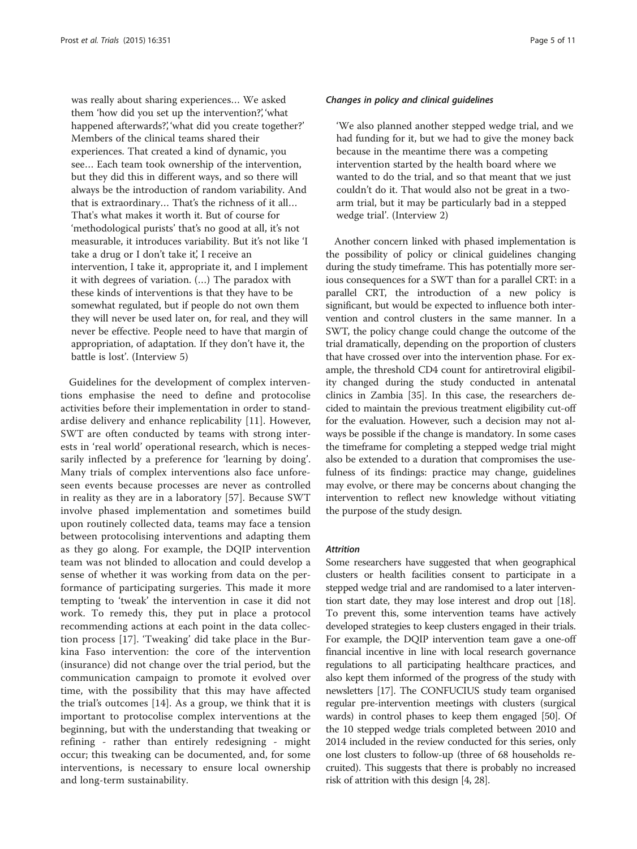was really about sharing experiences… We asked them 'how did you set up the intervention?', 'what happened afterwards?', 'what did you create together?' Members of the clinical teams shared their experiences. That created a kind of dynamic, you see… Each team took ownership of the intervention, but they did this in different ways, and so there will always be the introduction of random variability. And that is extraordinary… That's the richness of it all… That's what makes it worth it. But of course for 'methodological purists' that's no good at all, it's not measurable, it introduces variability. But it's not like 'I take a drug or I don't take it', I receive an intervention, I take it, appropriate it, and I implement it with degrees of variation. (…) The paradox with these kinds of interventions is that they have to be somewhat regulated, but if people do not own them they will never be used later on, for real, and they will never be effective. People need to have that margin of appropriation, of adaptation. If they don't have it, the battle is lost'. (Interview 5)

Guidelines for the development of complex interventions emphasise the need to define and protocolise activities before their implementation in order to standardise delivery and enhance replicability [[11\]](#page-9-0). However, SWT are often conducted by teams with strong interests in 'real world' operational research, which is necessarily inflected by a preference for 'learning by doing'. Many trials of complex interventions also face unforeseen events because processes are never as controlled in reality as they are in a laboratory [[57\]](#page-10-0). Because SWT involve phased implementation and sometimes build upon routinely collected data, teams may face a tension between protocolising interventions and adapting them as they go along. For example, the DQIP intervention team was not blinded to allocation and could develop a sense of whether it was working from data on the performance of participating surgeries. This made it more tempting to 'tweak' the intervention in case it did not work. To remedy this, they put in place a protocol recommending actions at each point in the data collection process [\[17](#page-9-0)]. 'Tweaking' did take place in the Burkina Faso intervention: the core of the intervention (insurance) did not change over the trial period, but the communication campaign to promote it evolved over time, with the possibility that this may have affected the trial's outcomes [[14](#page-9-0)]. As a group, we think that it is important to protocolise complex interventions at the beginning, but with the understanding that tweaking or refining - rather than entirely redesigning - might occur; this tweaking can be documented, and, for some interventions, is necessary to ensure local ownership and long-term sustainability.

#### Changes in policy and clinical guidelines

'We also planned another stepped wedge trial, and we had funding for it, but we had to give the money back because in the meantime there was a competing intervention started by the health board where we wanted to do the trial, and so that meant that we just couldn't do it. That would also not be great in a twoarm trial, but it may be particularly bad in a stepped wedge trial'. (Interview 2)

Another concern linked with phased implementation is the possibility of policy or clinical guidelines changing during the study timeframe. This has potentially more serious consequences for a SWT than for a parallel CRT: in a parallel CRT, the introduction of a new policy is significant, but would be expected to influence both intervention and control clusters in the same manner. In a SWT, the policy change could change the outcome of the trial dramatically, depending on the proportion of clusters that have crossed over into the intervention phase. For example, the threshold CD4 count for antiretroviral eligibility changed during the study conducted in antenatal clinics in Zambia [[35](#page-9-0)]. In this case, the researchers decided to maintain the previous treatment eligibility cut-off for the evaluation. However, such a decision may not always be possible if the change is mandatory. In some cases the timeframe for completing a stepped wedge trial might also be extended to a duration that compromises the usefulness of its findings: practice may change, guidelines may evolve, or there may be concerns about changing the intervention to reflect new knowledge without vitiating the purpose of the study design.

# Attrition

Some researchers have suggested that when geographical clusters or health facilities consent to participate in a stepped wedge trial and are randomised to a later intervention start date, they may lose interest and drop out [[18](#page-9-0)]. To prevent this, some intervention teams have actively developed strategies to keep clusters engaged in their trials. For example, the DQIP intervention team gave a one-off financial incentive in line with local research governance regulations to all participating healthcare practices, and also kept them informed of the progress of the study with newsletters [[17](#page-9-0)]. The CONFUCIUS study team organised regular pre-intervention meetings with clusters (surgical wards) in control phases to keep them engaged [\[50\]](#page-10-0). Of the 10 stepped wedge trials completed between 2010 and 2014 included in the review conducted for this series, only one lost clusters to follow-up (three of 68 households recruited). This suggests that there is probably no increased risk of attrition with this design [\[4, 28](#page-9-0)].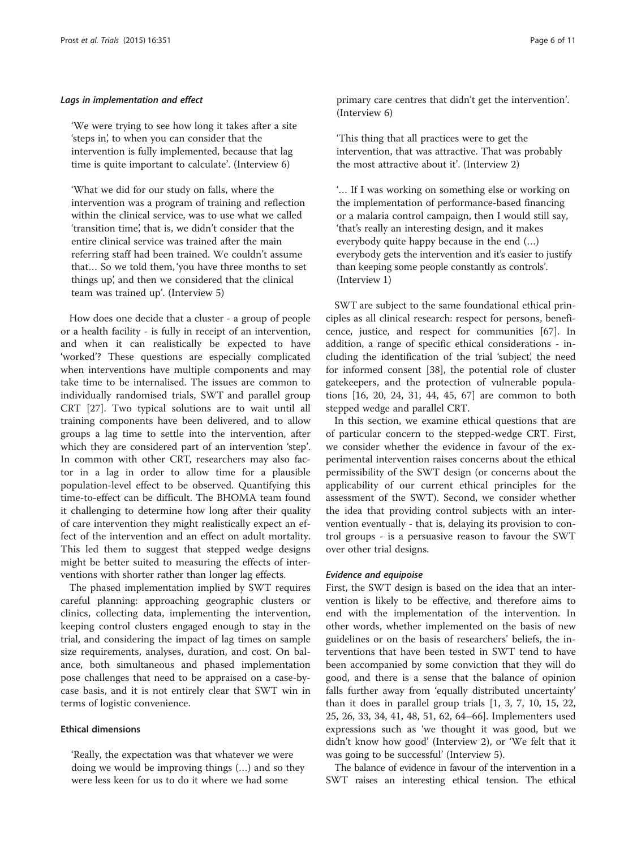#### Lags in implementation and effect

'We were trying to see how long it takes after a site 'steps in', to when you can consider that the intervention is fully implemented, because that lag time is quite important to calculate'. (Interview 6)

'What we did for our study on falls, where the intervention was a program of training and reflection within the clinical service, was to use what we called 'transition time', that is, we didn't consider that the entire clinical service was trained after the main referring staff had been trained. We couldn't assume that… So we told them, 'you have three months to set things up', and then we considered that the clinical team was trained up'. (Interview 5)

How does one decide that a cluster - a group of people or a health facility - is fully in receipt of an intervention, and when it can realistically be expected to have 'worked'? These questions are especially complicated when interventions have multiple components and may take time to be internalised. The issues are common to individually randomised trials, SWT and parallel group CRT [\[27](#page-9-0)]. Two typical solutions are to wait until all training components have been delivered, and to allow groups a lag time to settle into the intervention, after which they are considered part of an intervention 'step'. In common with other CRT, researchers may also factor in a lag in order to allow time for a plausible population-level effect to be observed. Quantifying this time-to-effect can be difficult. The BHOMA team found it challenging to determine how long after their quality of care intervention they might realistically expect an effect of the intervention and an effect on adult mortality. This led them to suggest that stepped wedge designs might be better suited to measuring the effects of interventions with shorter rather than longer lag effects.

The phased implementation implied by SWT requires careful planning: approaching geographic clusters or clinics, collecting data, implementing the intervention, keeping control clusters engaged enough to stay in the trial, and considering the impact of lag times on sample size requirements, analyses, duration, and cost. On balance, both simultaneous and phased implementation pose challenges that need to be appraised on a case-bycase basis, and it is not entirely clear that SWT win in terms of logistic convenience.

# Ethical dimensions

'Really, the expectation was that whatever we were doing we would be improving things (…) and so they were less keen for us to do it where we had some

primary care centres that didn't get the intervention'. (Interview 6)

'This thing that all practices were to get the intervention, that was attractive. That was probably the most attractive about it'. (Interview 2)

'… If I was working on something else or working on the implementation of performance-based financing or a malaria control campaign, then I would still say, 'that's really an interesting design, and it makes everybody quite happy because in the end (…) everybody gets the intervention and it's easier to justify than keeping some people constantly as controls'. (Interview 1)

SWT are subject to the same foundational ethical principles as all clinical research: respect for persons, beneficence, justice, and respect for communities [\[67](#page-10-0)]. In addition, a range of specific ethical considerations - including the identification of the trial 'subject', the need for informed consent [[38\]](#page-9-0), the potential role of cluster gatekeepers, and the protection of vulnerable populations [\[16](#page-9-0), [20, 24](#page-9-0), [31, 44](#page-9-0), [45,](#page-9-0) [67](#page-10-0)] are common to both stepped wedge and parallel CRT.

In this section, we examine ethical questions that are of particular concern to the stepped-wedge CRT. First, we consider whether the evidence in favour of the experimental intervention raises concerns about the ethical permissibility of the SWT design (or concerns about the applicability of our current ethical principles for the assessment of the SWT). Second, we consider whether the idea that providing control subjects with an intervention eventually - that is, delaying its provision to control groups - is a persuasive reason to favour the SWT over other trial designs.

#### Evidence and equipoise

First, the SWT design is based on the idea that an intervention is likely to be effective, and therefore aims to end with the implementation of the intervention. In other words, whether implemented on the basis of new guidelines or on the basis of researchers' beliefs, the interventions that have been tested in SWT tend to have been accompanied by some conviction that they will do good, and there is a sense that the balance of opinion falls further away from 'equally distributed uncertainty' than it does in parallel group trials [\[1, 3](#page-9-0), [7](#page-9-0), [10](#page-9-0), [15](#page-9-0), [22](#page-9-0), [25, 26, 33, 34, 41](#page-9-0), [48](#page-10-0), [51](#page-10-0), [62, 64](#page-10-0)–[66\]](#page-10-0). Implementers used expressions such as 'we thought it was good, but we didn't know how good' (Interview 2), or 'We felt that it was going to be successful' (Interview 5).

The balance of evidence in favour of the intervention in a SWT raises an interesting ethical tension. The ethical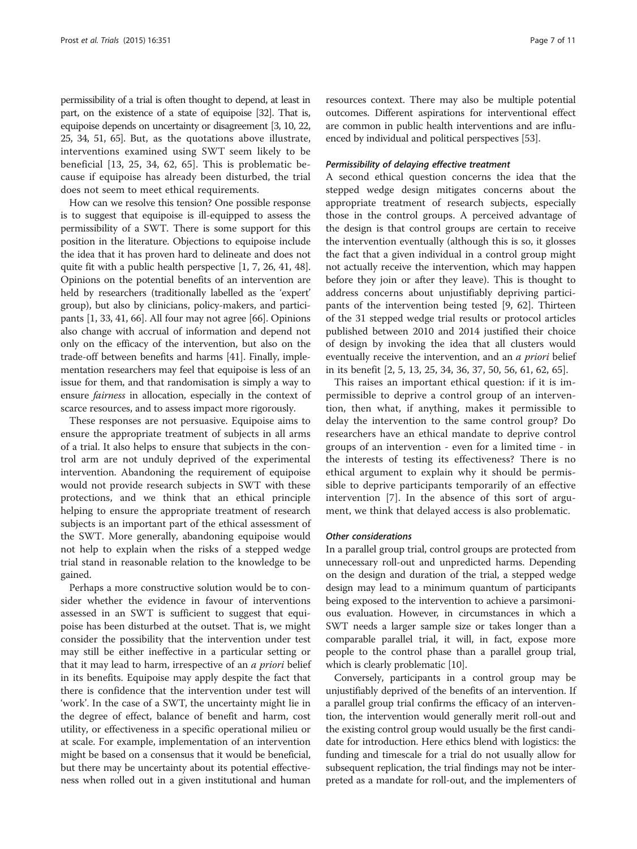permissibility of a trial is often thought to depend, at least in part, on the existence of a state of equipoise [\[32](#page-9-0)]. That is, equipoise depends on uncertainty or disagreement [\[3, 10, 22](#page-9-0), [25, 34](#page-9-0), [51](#page-10-0), [65\]](#page-10-0). But, as the quotations above illustrate, interventions examined using SWT seem likely to be beneficial [[13, 25](#page-9-0), [34,](#page-9-0) [62](#page-10-0), [65\]](#page-10-0). This is problematic because if equipoise has already been disturbed, the trial does not seem to meet ethical requirements.

How can we resolve this tension? One possible response is to suggest that equipoise is ill-equipped to assess the permissibility of a SWT. There is some support for this position in the literature. Objections to equipoise include the idea that it has proven hard to delineate and does not quite fit with a public health perspective [\[1, 7, 26, 41](#page-9-0), [48](#page-10-0)]. Opinions on the potential benefits of an intervention are held by researchers (traditionally labelled as the 'expert' group), but also by clinicians, policy-makers, and participants [\[1, 33](#page-9-0), [41,](#page-9-0) [66](#page-10-0)]. All four may not agree [\[66\]](#page-10-0). Opinions also change with accrual of information and depend not only on the efficacy of the intervention, but also on the trade-off between benefits and harms [[41](#page-9-0)]. Finally, implementation researchers may feel that equipoise is less of an issue for them, and that randomisation is simply a way to ensure fairness in allocation, especially in the context of scarce resources, and to assess impact more rigorously.

These responses are not persuasive. Equipoise aims to ensure the appropriate treatment of subjects in all arms of a trial. It also helps to ensure that subjects in the control arm are not unduly deprived of the experimental intervention. Abandoning the requirement of equipoise would not provide research subjects in SWT with these protections, and we think that an ethical principle helping to ensure the appropriate treatment of research subjects is an important part of the ethical assessment of the SWT. More generally, abandoning equipoise would not help to explain when the risks of a stepped wedge trial stand in reasonable relation to the knowledge to be gained.

Perhaps a more constructive solution would be to consider whether the evidence in favour of interventions assessed in an SWT is sufficient to suggest that equipoise has been disturbed at the outset. That is, we might consider the possibility that the intervention under test may still be either ineffective in a particular setting or that it may lead to harm, irrespective of an a priori belief in its benefits. Equipoise may apply despite the fact that there is confidence that the intervention under test will 'work'. In the case of a SWT, the uncertainty might lie in the degree of effect, balance of benefit and harm, cost utility, or effectiveness in a specific operational milieu or at scale. For example, implementation of an intervention might be based on a consensus that it would be beneficial, but there may be uncertainty about its potential effectiveness when rolled out in a given institutional and human resources context. There may also be multiple potential outcomes. Different aspirations for interventional effect are common in public health interventions and are influenced by individual and political perspectives [[53](#page-10-0)].

#### Permissibility of delaying effective treatment

A second ethical question concerns the idea that the stepped wedge design mitigates concerns about the appropriate treatment of research subjects, especially those in the control groups. A perceived advantage of the design is that control groups are certain to receive the intervention eventually (although this is so, it glosses the fact that a given individual in a control group might not actually receive the intervention, which may happen before they join or after they leave). This is thought to address concerns about unjustifiably depriving participants of the intervention being tested [[9](#page-9-0), [62\]](#page-10-0). Thirteen of the 31 stepped wedge trial results or protocol articles published between 2010 and 2014 justified their choice of design by invoking the idea that all clusters would eventually receive the intervention, and an *a priori* belief in its benefit [\[2](#page-9-0), [5](#page-9-0), [13](#page-9-0), [25, 34, 36, 37,](#page-9-0) [50, 56](#page-10-0), [61](#page-10-0), [62](#page-10-0), [65](#page-10-0)].

This raises an important ethical question: if it is impermissible to deprive a control group of an intervention, then what, if anything, makes it permissible to delay the intervention to the same control group? Do researchers have an ethical mandate to deprive control groups of an intervention - even for a limited time - in the interests of testing its effectiveness? There is no ethical argument to explain why it should be permissible to deprive participants temporarily of an effective intervention [\[7](#page-9-0)]. In the absence of this sort of argument, we think that delayed access is also problematic.

#### Other considerations

In a parallel group trial, control groups are protected from unnecessary roll-out and unpredicted harms. Depending on the design and duration of the trial, a stepped wedge design may lead to a minimum quantum of participants being exposed to the intervention to achieve a parsimonious evaluation. However, in circumstances in which a SWT needs a larger sample size or takes longer than a comparable parallel trial, it will, in fact, expose more people to the control phase than a parallel group trial, which is clearly problematic [\[10\]](#page-9-0).

Conversely, participants in a control group may be unjustifiably deprived of the benefits of an intervention. If a parallel group trial confirms the efficacy of an intervention, the intervention would generally merit roll-out and the existing control group would usually be the first candidate for introduction. Here ethics blend with logistics: the funding and timescale for a trial do not usually allow for subsequent replication, the trial findings may not be interpreted as a mandate for roll-out, and the implementers of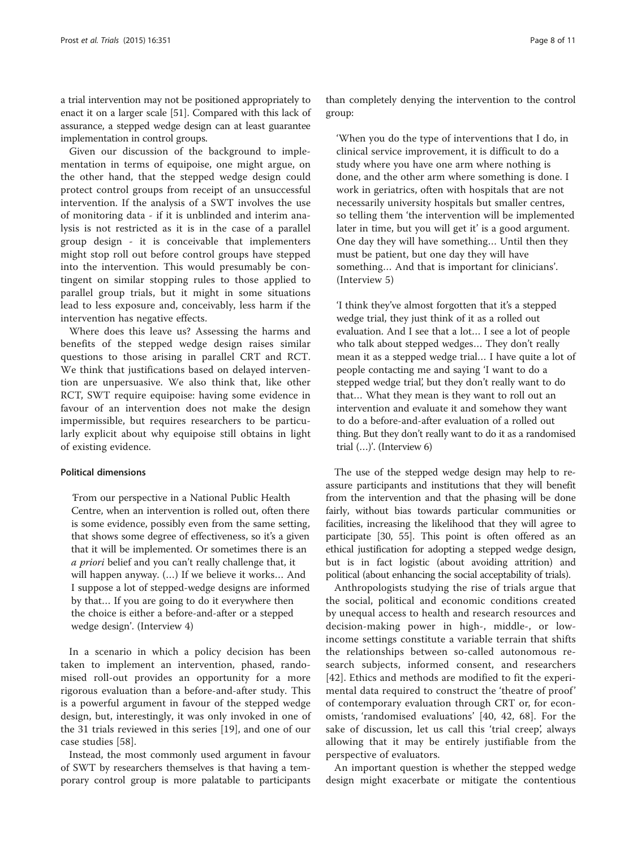a trial intervention may not be positioned appropriately to enact it on a larger scale [\[51\]](#page-10-0). Compared with this lack of assurance, a stepped wedge design can at least guarantee implementation in control groups.

Given our discussion of the background to implementation in terms of equipoise, one might argue, on the other hand, that the stepped wedge design could protect control groups from receipt of an unsuccessful intervention. If the analysis of a SWT involves the use of monitoring data - if it is unblinded and interim analysis is not restricted as it is in the case of a parallel group design - it is conceivable that implementers might stop roll out before control groups have stepped into the intervention. This would presumably be contingent on similar stopping rules to those applied to parallel group trials, but it might in some situations lead to less exposure and, conceivably, less harm if the intervention has negative effects.

Where does this leave us? Assessing the harms and benefits of the stepped wedge design raises similar questions to those arising in parallel CRT and RCT. We think that justifications based on delayed intervention are unpersuasive. We also think that, like other RCT, SWT require equipoise: having some evidence in favour of an intervention does not make the design impermissible, but requires researchers to be particularly explicit about why equipoise still obtains in light of existing evidence.

#### Political dimensions

'From our perspective in a National Public Health Centre, when an intervention is rolled out, often there is some evidence, possibly even from the same setting, that shows some degree of effectiveness, so it's a given that it will be implemented. Or sometimes there is an a priori belief and you can't really challenge that, it will happen anyway. (…) If we believe it works… And I suppose a lot of stepped-wedge designs are informed by that… If you are going to do it everywhere then the choice is either a before-and-after or a stepped wedge design'. (Interview 4)

In a scenario in which a policy decision has been taken to implement an intervention, phased, randomised roll-out provides an opportunity for a more rigorous evaluation than a before-and-after study. This is a powerful argument in favour of the stepped wedge design, but, interestingly, it was only invoked in one of the 31 trials reviewed in this series [\[19](#page-9-0)], and one of our case studies [\[58](#page-10-0)].

Instead, the most commonly used argument in favour of SWT by researchers themselves is that having a temporary control group is more palatable to participants than completely denying the intervention to the control group:

'When you do the type of interventions that I do, in clinical service improvement, it is difficult to do a study where you have one arm where nothing is done, and the other arm where something is done. I work in geriatrics, often with hospitals that are not necessarily university hospitals but smaller centres, so telling them 'the intervention will be implemented later in time, but you will get it' is a good argument. One day they will have something… Until then they must be patient, but one day they will have something… And that is important for clinicians'. (Interview 5)

'I think they've almost forgotten that it's a stepped wedge trial, they just think of it as a rolled out evaluation. And I see that a lot… I see a lot of people who talk about stepped wedges… They don't really mean it as a stepped wedge trial… I have quite a lot of people contacting me and saying 'I want to do a stepped wedge trial', but they don't really want to do that… What they mean is they want to roll out an intervention and evaluate it and somehow they want to do a before-and-after evaluation of a rolled out thing. But they don't really want to do it as a randomised trial (…)'. (Interview 6)

The use of the stepped wedge design may help to reassure participants and institutions that they will benefit from the intervention and that the phasing will be done fairly, without bias towards particular communities or facilities, increasing the likelihood that they will agree to participate [[30](#page-9-0), [55\]](#page-10-0). This point is often offered as an ethical justification for adopting a stepped wedge design, but is in fact logistic (about avoiding attrition) and political (about enhancing the social acceptability of trials).

Anthropologists studying the rise of trials argue that the social, political and economic conditions created by unequal access to health and research resources and decision-making power in high-, middle-, or lowincome settings constitute a variable terrain that shifts the relationships between so-called autonomous research subjects, informed consent, and researchers [[42](#page-9-0)]. Ethics and methods are modified to fit the experimental data required to construct the 'theatre of proof' of contemporary evaluation through CRT or, for economists, 'randomised evaluations' [[40, 42,](#page-9-0) [68](#page-10-0)]. For the sake of discussion, let us call this 'trial creep', always allowing that it may be entirely justifiable from the perspective of evaluators.

An important question is whether the stepped wedge design might exacerbate or mitigate the contentious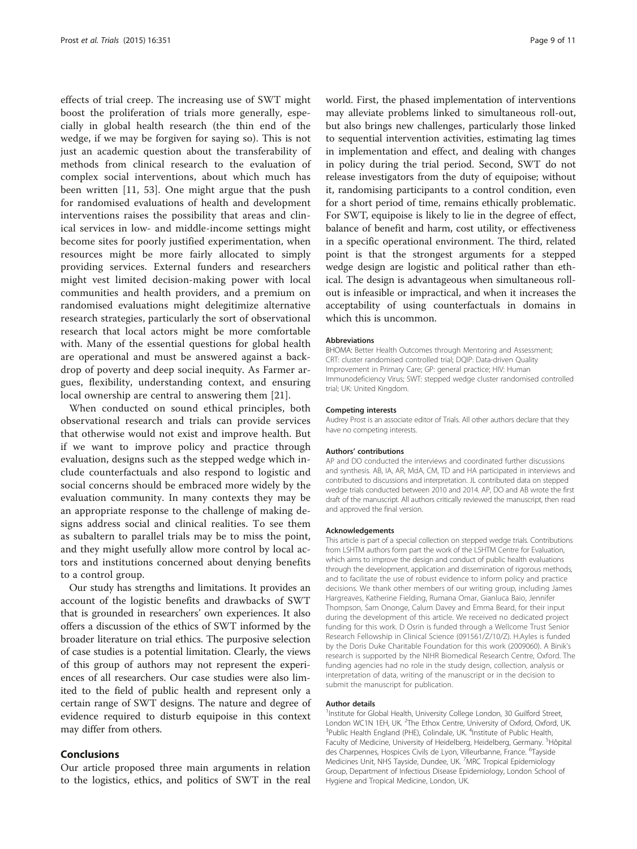effects of trial creep. The increasing use of SWT might boost the proliferation of trials more generally, especially in global health research (the thin end of the wedge, if we may be forgiven for saying so). This is not just an academic question about the transferability of methods from clinical research to the evaluation of complex social interventions, about which much has been written [[11](#page-9-0), [53\]](#page-10-0). One might argue that the push for randomised evaluations of health and development interventions raises the possibility that areas and clinical services in low- and middle-income settings might become sites for poorly justified experimentation, when resources might be more fairly allocated to simply providing services. External funders and researchers might vest limited decision-making power with local communities and health providers, and a premium on randomised evaluations might delegitimize alternative research strategies, particularly the sort of observational research that local actors might be more comfortable with. Many of the essential questions for global health are operational and must be answered against a backdrop of poverty and deep social inequity. As Farmer argues, flexibility, understanding context, and ensuring local ownership are central to answering them [[21\]](#page-9-0).

When conducted on sound ethical principles, both observational research and trials can provide services that otherwise would not exist and improve health. But if we want to improve policy and practice through evaluation, designs such as the stepped wedge which include counterfactuals and also respond to logistic and social concerns should be embraced more widely by the evaluation community. In many contexts they may be an appropriate response to the challenge of making designs address social and clinical realities. To see them as subaltern to parallel trials may be to miss the point, and they might usefully allow more control by local actors and institutions concerned about denying benefits to a control group.

Our study has strengths and limitations. It provides an account of the logistic benefits and drawbacks of SWT that is grounded in researchers' own experiences. It also offers a discussion of the ethics of SWT informed by the broader literature on trial ethics. The purposive selection of case studies is a potential limitation. Clearly, the views of this group of authors may not represent the experiences of all researchers. Our case studies were also limited to the field of public health and represent only a certain range of SWT designs. The nature and degree of evidence required to disturb equipoise in this context may differ from others.

#### Conclusions

Our article proposed three main arguments in relation to the logistics, ethics, and politics of SWT in the real world. First, the phased implementation of interventions may alleviate problems linked to simultaneous roll-out, but also brings new challenges, particularly those linked to sequential intervention activities, estimating lag times in implementation and effect, and dealing with changes in policy during the trial period. Second, SWT do not release investigators from the duty of equipoise; without it, randomising participants to a control condition, even for a short period of time, remains ethically problematic. For SWT, equipoise is likely to lie in the degree of effect, balance of benefit and harm, cost utility, or effectiveness in a specific operational environment. The third, related point is that the strongest arguments for a stepped wedge design are logistic and political rather than ethical. The design is advantageous when simultaneous rollout is infeasible or impractical, and when it increases the acceptability of using counterfactuals in domains in which this is uncommon.

#### Abbreviations

BHOMA: Better Health Outcomes through Mentoring and Assessment; CRT: cluster randomised controlled trial; DQIP: Data-driven Quality Improvement in Primary Care; GP: general practice; HIV: Human Immunodeficiency Virus; SWT: stepped wedge cluster randomised controlled trial; UK: United Kingdom.

#### Competing interests

Audrey Prost is an associate editor of Trials. All other authors declare that they have no competing interests.

#### Authors' contributions

AP and DO conducted the interviews and coordinated further discussions and synthesis. AB, IA, AR, MdA, CM, TD and HA participated in interviews and contributed to discussions and interpretation. JL contributed data on stepped wedge trials conducted between 2010 and 2014. AP, DO and AB wrote the first draft of the manuscript. All authors critically reviewed the manuscript, then read and approved the final version.

#### Acknowledgements

This article is part of a special collection on stepped wedge trials. Contributions from LSHTM authors form part the work of the LSHTM Centre for Evaluation, which aims to improve the design and conduct of public health evaluations through the development, application and dissemination of rigorous methods, and to facilitate the use of robust evidence to inform policy and practice decisions. We thank other members of our writing group, including James Hargreaves, Katherine Fielding, Rumana Omar, Gianluca Baio, Jennifer Thompson, Sam Ononge, Calum Davey and Emma Beard, for their input during the development of this article. We received no dedicated project funding for this work. D Osrin is funded through a Wellcome Trust Senior Research Fellowship in Clinical Science (091561/Z/10/Z). H.Ayles is funded by the Doris Duke Charitable Foundation for this work (2009060). A Binik's research is supported by the NIHR Biomedical Research Centre, Oxford. The funding agencies had no role in the study design, collection, analysis or interpretation of data, writing of the manuscript or in the decision to submit the manuscript for publication.

#### Author details

<sup>1</sup>Institute for Global Health, University College London, 30 Guilford Street, London WC1N 1EH, UK. <sup>2</sup>The Ethox Centre, University of Oxford, Oxford, UK.<br><sup>3</sup>Public Hoalth Epoland (PHE), Colindale, UK. <sup>4</sup>Instituto of Public Hoalth Public Health England (PHE), Colindale, UK. <sup>4</sup>Institute of Public Health, Faculty of Medicine, University of Heidelberg, Heidelberg, Germany. <sup>5</sup>Hôpital des Charpennes, Hospices Civils de Lyon, Villeurbanne, France. <sup>6</sup>Tayside Medicines Unit, NHS Tayside, Dundee, UK. <sup>7</sup>MRC Tropical Epidemiology Group, Department of Infectious Disease Epidemiology, London School of Hygiene and Tropical Medicine, London, UK.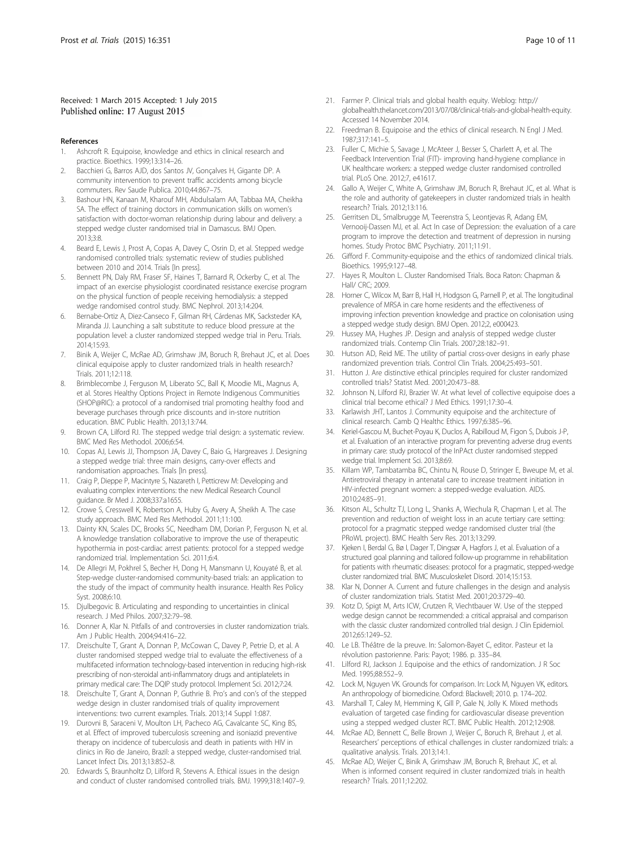#### <span id="page-9-0"></span>Received: 1 March 2015 Accepted: 1 July 2015 Published online: 17 August 2015

#### References

- 1. Ashcroft R. Equipoise, knowledge and ethics in clinical research and practice. Bioethics. 1999;13:314–26.
- 2. Bacchieri G, Barros AJD, dos Santos JV, Gonçalves H, Gigante DP. A community intervention to prevent traffic accidents among bicycle commuters. Rev Saude Publica. 2010;44:867–75.
- 3. Bashour HN, Kanaan M, Kharouf MH, Abdulsalam AA, Tabbaa MA, Cheikha SA. The effect of training doctors in communication skills on women's satisfaction with doctor-woman relationship during labour and delivery: a stepped wedge cluster randomised trial in Damascus. BMJ Open. 2013;3:8.
- Beard E, Lewis J, Prost A, Copas A, Davey C, Osrin D, et al. Stepped wedge randomised controlled trials: systematic review of studies published between 2010 and 2014. Trials [In press].
- 5. Bennett PN, Daly RM, Fraser SF, Haines T, Barnard R, Ockerby C, et al. The impact of an exercise physiologist coordinated resistance exercise program on the physical function of people receiving hemodialysis: a stepped wedge randomised control study. BMC Nephrol. 2013;14:204.
- 6. Bernabe-Ortiz A, Diez-Canseco F, Gilman RH, Cárdenas MK, Sacksteder KA, Miranda JJ. Launching a salt substitute to reduce blood pressure at the population level: a cluster randomized stepped wedge trial in Peru. Trials. 2014;15:93.
- 7. Binik A, Weijer C, McRae AD, Grimshaw JM, Boruch R, Brehaut JC, et al. Does clinical equipoise apply to cluster randomized trials in health research? Trials. 2011;12:118.
- 8. Brimblecombe J, Ferguson M, Liberato SC, Ball K, Moodie ML, Magnus A, et al. Stores Healthy Options Project in Remote Indigenous Communities (SHOP@RIC): a protocol of a randomised trial promoting healthy food and beverage purchases through price discounts and in-store nutrition education. BMC Public Health. 2013;13:744.
- 9. Brown CA, Lilford RJ. The stepped wedge trial design: a systematic review. BMC Med Res Methodol. 2006;6:54.
- 10. Copas AJ, Lewis JJ, Thompson JA, Davey C, Baio G, Hargreaves J. Designing a stepped wedge trial: three main designs, carry-over effects and randomisation approaches. Trials [In press].
- 11. Craig P, Dieppe P, Macintyre S, Nazareth I, Petticrew M: Developing and evaluating complex interventions: the new Medical Research Council guidance. Br Med J. 2008;337:a1655.
- 12. Crowe S, Cresswell K, Robertson A, Huby G, Avery A, Sheikh A. The case study approach. BMC Med Res Methodol. 2011;11:100.
- 13. Dainty KN, Scales DC, Brooks SC, Needham DM, Dorian P, Ferguson N, et al. A knowledge translation collaborative to improve the use of therapeutic hypothermia in post-cardiac arrest patients: protocol for a stepped wedge randomized trial. Implementation Sci. 2011;6:4.
- 14. De Allegri M, Pokhrel S, Becher H, Dong H, Mansmann U, Kouyaté B, et al. Step-wedge cluster-randomised community-based trials: an application to the study of the impact of community health insurance. Health Res Policy Syst. 2008;6:10.
- 15. Djulbegovic B. Articulating and responding to uncertainties in clinical research. J Med Philos. 2007;32:79–98.
- 16. Donner A, Klar N. Pitfalls of and controversies in cluster randomization trials. Am J Public Health. 2004;94:416–22.
- 17. Dreischulte T, Grant A, Donnan P, McCowan C, Davey P, Petrie D, et al. A cluster randomised stepped wedge trial to evaluate the effectiveness of a multifaceted information technology-based intervention in reducing high-risk prescribing of non-steroidal anti-inflammatory drugs and antiplatelets in primary medical care: The DQIP study protocol. Implement Sci. 2012;7:24.
- 18. Dreischulte T, Grant A, Donnan P, Guthrie B. Pro's and con's of the stepped wedge design in cluster randomised trials of quality improvement interventions: two current examples. Trials. 2013;14 Suppl 1:087.
- 19. Durovni B, Saraceni V, Moulton LH, Pacheco AG, Cavalcante SC, King BS, et al. Effect of improved tuberculosis screening and isoniazid preventive therapy on incidence of tuberculosis and death in patients with HIV in clinics in Rio de Janeiro, Brazil: a stepped wedge, cluster-randomised trial. Lancet Infect Dis. 2013;13:852–8.
- 20. Edwards S, Braunholtz D, Lilford R, Stevens A. Ethical issues in the design and conduct of cluster randomised controlled trials. BMJ. 1999;318:1407–9.
- 21. Farmer P. Clinical trials and global health equity. Weblog: http:// globalhealth.thelancet.com/2013/07/08/clinical-trials-and-global-health-equity. Accessed 14 November 2014.
- 22. Freedman B. Equipoise and the ethics of clinical research. N Engl J Med. 1987;317:141–5.
- 23. Fuller C, Michie S, Savage J, McAteer J, Besser S, Charlett A, et al. The Feedback Intervention Trial (FIT)- improving hand-hygiene compliance in UK healthcare workers: a stepped wedge cluster randomised controlled trial. PLoS One. 2012;7, e41617.
- 24. Gallo A, Weijer C, White A, Grimshaw JM, Boruch R, Brehaut JC, et al. What is the role and authority of gatekeepers in cluster randomized trials in health research? Trials. 2012;13:116.
- 25. Gerritsen DL, Smalbrugge M, Teerenstra S, Leontjevas R, Adang EM, Vernooij-Dassen MJ, et al. Act In case of Depression: the evaluation of a care program to improve the detection and treatment of depression in nursing homes. Study Protoc BMC Psychiatry. 2011;11:91.
- 26. Gifford F. Community-equipoise and the ethics of randomized clinical trials. Bioethics. 1995;9:127–48.
- 27. Hayes R, Moulton L. Cluster Randomised Trials. Boca Raton: Chapman & Hall/ CRC; 2009.
- 28. Horner C, Wilcox M, Barr B, Hall H, Hodgson G, Parnell P, et al. The longitudinal prevalence of MRSA in care home residents and the effectiveness of improving infection prevention knowledge and practice on colonisation using a stepped wedge study design. BMJ Open. 2012;2, e000423.
- 29. Hussey MA, Hughes JP. Design and analysis of stepped wedge cluster randomized trials. Contemp Clin Trials. 2007;28:182–91.
- 30. Hutson AD, Reid ME. The utility of partial cross-over designs in early phase randomized prevention trials. Control Clin Trials. 2004;25:493–501.
- 31. Hutton J. Are distinctive ethical principles required for cluster randomized controlled trials? Statist Med. 2001;20:473–88.
- 32. Johnson N, Lilford RJ, Brazier W. At what level of collective equipoise does a clinical trial become ethical? J Med Ethics. 1991;17:30–4.
- 33. Karlawish JHT, Lantos J. Community equipoise and the architecture of clinical research. Camb Q Healthc Ethics. 1997;6:385–96.
- 34. Keriel-Gascou M, Buchet-Poyau K, Duclos A, Rabilloud M, Figon S, Dubois J-P, et al. Evaluation of an interactive program for preventing adverse drug events in primary care: study protocol of the InPAct cluster randomised stepped wedge trial. Implement Sci. 2013;8:69.
- 35. Killam WP, Tambatamba BC, Chintu N, Rouse D, Stringer E, Bweupe M, et al. Antiretroviral therapy in antenatal care to increase treatment initiation in HIV-infected pregnant women: a stepped-wedge evaluation. AIDS. 2010;24:85–91.
- 36. Kitson AL, Schultz TJ, Long L, Shanks A, Wiechula R, Chapman I, et al. The prevention and reduction of weight loss in an acute tertiary care setting: protocol for a pragmatic stepped wedge randomised cluster trial (the PRoWL project). BMC Health Serv Res. 2013;13:299.
- 37. Kjeken I, Berdal G, Bø I, Dager T, Dingsør A, Hagfors J, et al. Evaluation of a structured goal planning and tailored follow-up programme in rehabilitation for patients with rheumatic diseases: protocol for a pragmatic, stepped-wedge cluster randomized trial. BMC Musculoskelet Disord. 2014;15:153.
- 38. Klar N, Donner A. Current and future challenges in the design and analysis of cluster randomization trials. Statist Med. 2001;20:3729–40.
- 39. Kotz D, Spigt M, Arts ICW, Crutzen R, Viechtbauer W. Use of the stepped wedge design cannot be recommended: a critical appraisal and comparison with the classic cluster randomized controlled trial design. J Clin Epidemiol. 2012;65:1249–52.
- 40. Le LB. Théâtre de la preuve. In: Salomon-Bayet C, editor. Pasteur et la révolution pastorienne. Paris: Payot; 1986. p. 335–84.
- 41. Lilford RJ, Jackson J. Equipoise and the ethics of randomization. J R Soc Med. 1995;88:552–9.
- 42. Lock M, Nguyen VK. Grounds for comparison. In: Lock M, Nguyen VK, editors. An anthropology of biomedicine. Oxford: Blackwell; 2010. p. 174–202.
- 43. Marshall T, Caley M, Hemming K, Gill P, Gale N, Jolly K. Mixed methods evaluation of targeted case finding for cardiovascular disease prevention using a stepped wedged cluster RCT. BMC Public Health. 2012;12:908.
- 44. McRae AD, Bennett C, Belle Brown J, Weijer C, Boruch R, Brehaut J, et al. Researchers' perceptions of ethical challenges in cluster randomized trials: a qualitative analysis. Trials. 2013;14:1.
- 45. McRae AD, Weijer C, Binik A, Grimshaw JM, Boruch R, Brehaut JC, et al. When is informed consent required in cluster randomized trials in health research? Trials. 2011;12:202.